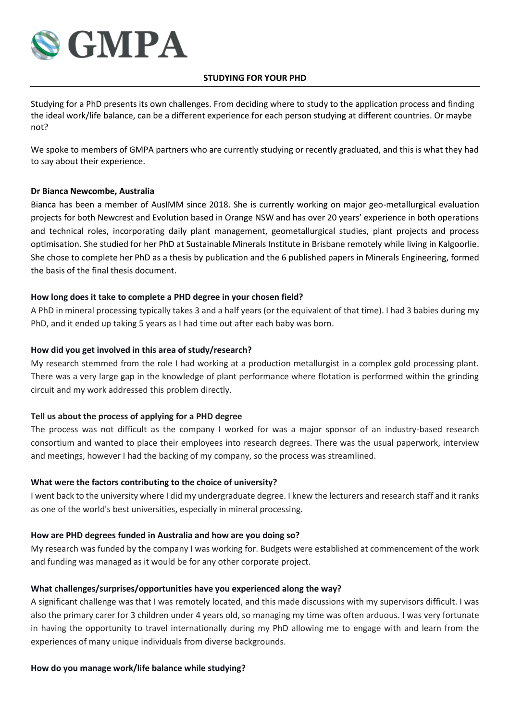

### **STUDYING FOR YOUR PHD**

Studying for a PhD presents its own challenges. From deciding where to study to the application process and finding the ideal work/life balance, can be a different experience for each person studying at different countries. Or maybe not?

We spoke to members of GMPA partners who are currently studying or recently graduated, and this is what they had to say about their experience.

## **Dr Bianca Newcombe, Australia**

Bianca has been a member of AusIMM since 2018. She is currently working on major geo-metallurgical evaluation projects for both Newcrest and Evolution based in Orange NSW and has over 20 years' experience in both operations and technical roles, incorporating daily plant management, geometallurgical studies, plant projects and process optimisation. She studied for her PhD at Sustainable Minerals Institute in Brisbane remotely while living in Kalgoorlie. She chose to complete her PhD as a thesis by publication and the 6 published papers in Minerals Engineering, formed the basis of the final thesis document.

## **How long does it take to complete a PHD degree in your chosen field?**

A PhD in mineral processing typically takes 3 and a half years (or the equivalent of that time). I had 3 babies during my PhD, and it ended up taking 5 years as I had time out after each baby was born.

## **How did you get involved in this area of study/research?**

My research stemmed from the role I had working at a production metallurgist in a complex gold processing plant. There was a very large gap in the knowledge of plant performance where flotation is performed within the grinding circuit and my work addressed this problem directly.

#### **Tell us about the process of applying for a PHD degree**

The process was not difficult as the company I worked for was a major sponsor of an industry-based research consortium and wanted to place their employees into research degrees. There was the usual paperwork, interview and meetings, however I had the backing of my company, so the process was streamlined.

#### **What were the factors contributing to the choice of university?**

I went back to the university where I did my undergraduate degree. I knew the lecturers and research staff and it ranks as one of the world's best universities, especially in mineral processing.

#### **How are PHD degrees funded in Australia and how are you doing so?**

My research was funded by the company I was working for. Budgets were established at commencement of the work and funding was managed as it would be for any other corporate project.

# **What challenges/surprises/opportunities have you experienced along the way?**

A significant challenge was that I was remotely located, and this made discussions with my supervisors difficult. I was also the primary carer for 3 children under 4 years old, so managing my time was often arduous. I was very fortunate in having the opportunity to travel internationally during my PhD allowing me to engage with and learn from the experiences of many unique individuals from diverse backgrounds.

#### **How do you manage work/life balance while studying?**